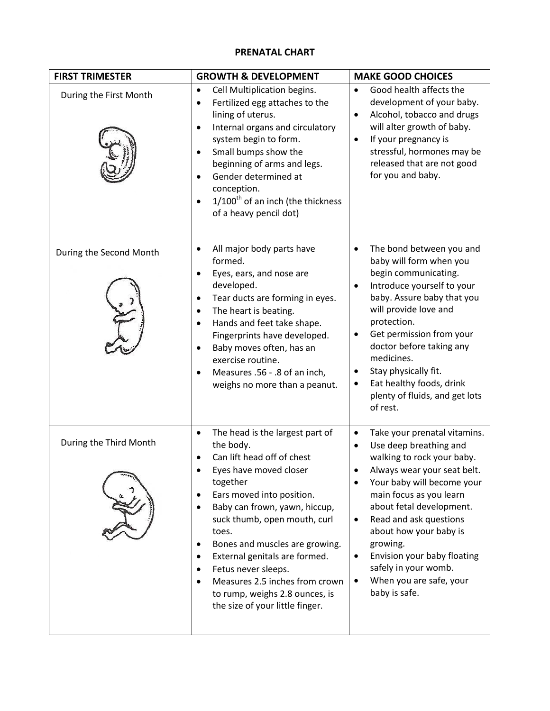## **PRENATAL CHART**

| <b>FIRST TRIMESTER</b>  | <b>GROWTH &amp; DEVELOPMENT</b>                                                                                                                                                                                                                                                                                                                                                                                                                                           | <b>MAKE GOOD CHOICES</b>                                                                                                                                                                                                                                                                                                                                                                                                                                  |
|-------------------------|---------------------------------------------------------------------------------------------------------------------------------------------------------------------------------------------------------------------------------------------------------------------------------------------------------------------------------------------------------------------------------------------------------------------------------------------------------------------------|-----------------------------------------------------------------------------------------------------------------------------------------------------------------------------------------------------------------------------------------------------------------------------------------------------------------------------------------------------------------------------------------------------------------------------------------------------------|
| During the First Month  | Cell Multiplication begins.<br>$\bullet$<br>Fertilized egg attaches to the<br>$\bullet$<br>lining of uterus.<br>Internal organs and circulatory<br>$\bullet$<br>system begin to form.<br>Small bumps show the<br>$\bullet$<br>beginning of arms and legs.<br>Gender determined at<br>$\bullet$<br>conception.<br>$1/100$ <sup>th</sup> of an inch (the thickness<br>$\bullet$<br>of a heavy pencil dot)                                                                   | Good health affects the<br>$\bullet$<br>development of your baby.<br>Alcohol, tobacco and drugs<br>$\bullet$<br>will alter growth of baby.<br>If your pregnancy is<br>$\bullet$<br>stressful, hormones may be<br>released that are not good<br>for you and baby.                                                                                                                                                                                          |
| During the Second Month | All major body parts have<br>$\bullet$<br>formed.<br>Eyes, ears, and nose are<br>$\bullet$<br>developed.<br>Tear ducts are forming in eyes.<br>$\bullet$<br>The heart is beating.<br>$\bullet$<br>Hands and feet take shape.<br>$\bullet$<br>Fingerprints have developed.<br>Baby moves often, has an<br>$\bullet$<br>exercise routine.<br>Measures .56 - .8 of an inch,<br>$\bullet$<br>weighs no more than a peanut.                                                    | The bond between you and<br>$\bullet$<br>baby will form when you<br>begin communicating.<br>Introduce yourself to your<br>$\bullet$<br>baby. Assure baby that you<br>will provide love and<br>protection.<br>Get permission from your<br>٠<br>doctor before taking any<br>medicines.<br>Stay physically fit.<br>$\bullet$<br>Eat healthy foods, drink<br>٠<br>plenty of fluids, and get lots<br>of rest.                                                  |
| During the Third Month  | The head is the largest part of<br>$\bullet$<br>the body.<br>Can lift head off of chest<br>Eyes have moved closer<br>together<br>Ears moved into position.<br>٠<br>Baby can frown, yawn, hiccup,<br>$\bullet$<br>suck thumb, open mouth, curl<br>toes.<br>Bones and muscles are growing.<br>External genitals are formed.<br>٠<br>Fetus never sleeps.<br>$\bullet$<br>Measures 2.5 inches from crown<br>to rump, weighs 2.8 ounces, is<br>the size of your little finger. | Take your prenatal vitamins.<br>$\bullet$<br>Use deep breathing and<br>$\bullet$<br>walking to rock your baby.<br>Always wear your seat belt.<br>Your baby will become your<br>$\bullet$<br>main focus as you learn<br>about fetal development.<br>Read and ask questions<br>$\bullet$<br>about how your baby is<br>growing.<br>Envision your baby floating<br>$\bullet$<br>safely in your womb.<br>When you are safe, your<br>$\bullet$<br>baby is safe. |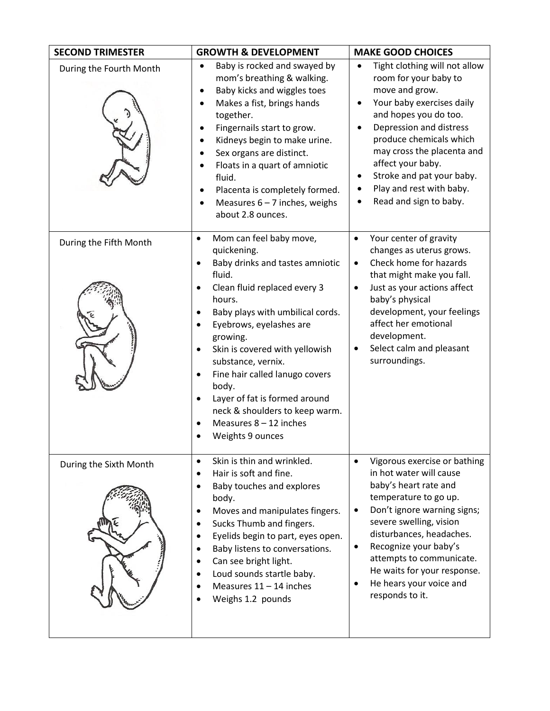| <b>SECOND TRIMESTER</b> | <b>GROWTH &amp; DEVELOPMENT</b>                                                                                                                                                                                                                                                                                                                                                                                                                                                                                        | <b>MAKE GOOD CHOICES</b>                                                                                                                                                                                                                                                                                                                                       |
|-------------------------|------------------------------------------------------------------------------------------------------------------------------------------------------------------------------------------------------------------------------------------------------------------------------------------------------------------------------------------------------------------------------------------------------------------------------------------------------------------------------------------------------------------------|----------------------------------------------------------------------------------------------------------------------------------------------------------------------------------------------------------------------------------------------------------------------------------------------------------------------------------------------------------------|
| During the Fourth Month | Baby is rocked and swayed by<br>mom's breathing & walking.<br>Baby kicks and wiggles toes<br>Makes a fist, brings hands<br>together.<br>Fingernails start to grow.<br>Kidneys begin to make urine.<br>Sex organs are distinct.<br>Floats in a quart of amniotic<br>fluid.<br>Placenta is completely formed.<br>Measures $6 - 7$ inches, weighs<br>about 2.8 ounces.                                                                                                                                                    | Tight clothing will not allow<br>room for your baby to<br>move and grow.<br>Your baby exercises daily<br>٠<br>and hopes you do too.<br>Depression and distress<br>$\bullet$<br>produce chemicals which<br>may cross the placenta and<br>affect your baby.<br>Stroke and pat your baby.<br>$\bullet$<br>Play and rest with baby.<br>٠<br>Read and sign to baby. |
| During the Fifth Month  | Mom can feel baby move,<br>$\bullet$<br>quickening.<br>Baby drinks and tastes amniotic<br>٠<br>fluid.<br>Clean fluid replaced every 3<br>$\bullet$<br>hours.<br>Baby plays with umbilical cords.<br>Eyebrows, eyelashes are<br>$\bullet$<br>growing.<br>Skin is covered with yellowish<br>$\bullet$<br>substance, vernix.<br>Fine hair called lanugo covers<br>٠<br>body.<br>Layer of fat is formed around<br>$\bullet$<br>neck & shoulders to keep warm.<br>Measures $8 - 12$ inches<br>$\bullet$<br>Weights 9 ounces | Your center of gravity<br>$\bullet$<br>changes as uterus grows.<br>Check home for hazards<br>$\bullet$<br>that might make you fall.<br>Just as your actions affect<br>$\bullet$<br>baby's physical<br>development, your feelings<br>affect her emotional<br>development.<br>Select calm and pleasant<br>٠<br>surroundings.                                     |
| During the Sixth Month  | Skin is thin and wrinkled.<br>$\bullet$<br>Hair is soft and fine.<br>Baby touches and explores<br>$\bullet$<br>body.<br>Moves and manipulates fingers.<br>٠<br>Sucks Thumb and fingers.<br>$\bullet$<br>Eyelids begin to part, eyes open.<br>$\bullet$<br>Baby listens to conversations.<br>٠<br>Can see bright light.<br>Loud sounds startle baby.<br>$\bullet$<br>Measures $11 - 14$ inches<br>Weighs 1.2 pounds                                                                                                     | Vigorous exercise or bathing<br>in hot water will cause<br>baby's heart rate and<br>temperature to go up.<br>Don't ignore warning signs;<br>$\bullet$<br>severe swelling, vision<br>disturbances, headaches.<br>Recognize your baby's<br>٠<br>attempts to communicate.<br>He waits for your response.<br>He hears your voice and<br>responds to it.            |